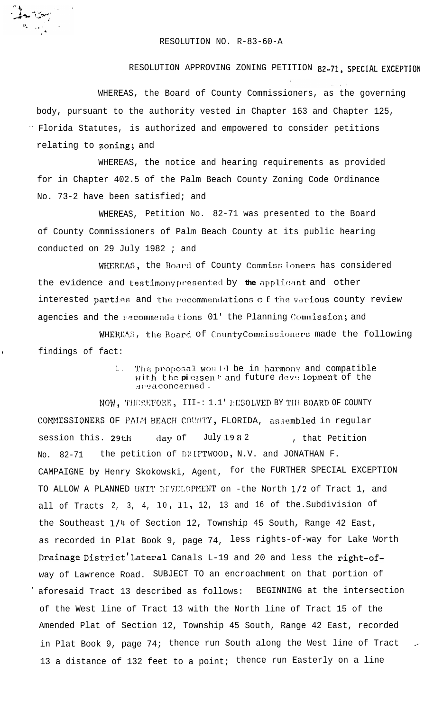## RESOLUTION NO. R-83-60-A

## RESOLUTION APPROVING ZONING PETITION 82-71, SPECIAL EXCEPTION

WHEREAS, the Board of County Commissioners, as the governing body, pursuant to the authority vested in Chapter 163 and Chapter 125, " Florida Statutes, is authorized and empowered to consider petitions relating to zoning; and

WHEREAS, the notice and hearing requirements as provided for in Chapter 402.5 of the Palm Beach County Zoning Code Ordinance No. 73-2 have been satisfied; and

WHEREAS, Petition No. 82-71 was presented to the Board of County Commissioners of Palm Beach County at its public hearing conducted on 29 July 1982 ; and

WHEREAS, the Board of County Commiss loners has considered the evidence and testimony presented by the applicant and other interested parties and the recommendations of the various county review agencies and the recommendations 01' the Planning Commission; and

WHEREAS, the Board of County Commissioners made the following findings of fact:

ï

The proposal would be in harmony and compatible  $1.$ with the piessent and future deve lopment of the area concerned.

NOW, THEREFORE, III-: 1.1' RESOLVED BY THE BOARD OF COUNTY COMMISSIONERS OF PALM BEACH COUNTY, FLORIDA, assembled in regular day of July 1982 session this. 29th , that Petition the petition of DRIFTWOOD, N.V. and JONATHAN F.  $82 - 71$ No. CAMPAIGNE by Henry Skokowski, Agent, for the FURTHER SPECIAL EXCEPTION TO ALLOW A PLANNED UNIT DEVELOPMENT on -the North 1/2 of Tract 1, and all of Tracts 2, 3, 4, 10, 11, 12, 13 and 16 of the Subdivision of the Southeast 1/4 of Section 12, Township 45 South, Range 42 East, as recorded in Plat Book 9, page 74, less rights-of-way for Lake Worth Drainage District Lateral Canals L-19 and 20 and less the right-ofway of Lawrence Road. SUBJECT TO an encroachment on that portion of BEGINNING at the intersection aforesaid Tract 13 described as follows: of the West line of Tract 13 with the North line of Tract 15 of the Amended Plat of Section 12, Township 45 South, Range 42 East, recorded in Plat Book 9, page 74; thence run South along the West line of Tract 13 a distance of 132 feet to a point; thence run Easterly on a line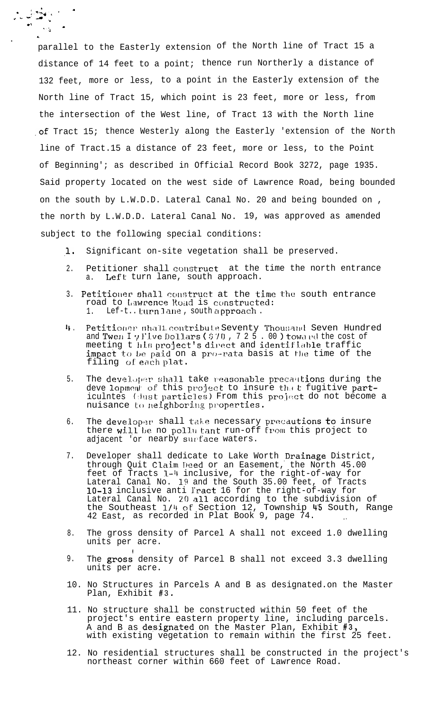parallel to the Easterly extension of the North line of Tract 15 a distance of 14 feet to a point; thence run Northerly a distance of 132 feet, more or less, to a point in the Easterly extension of the North line of Tract 15, which point is 23 feet, more or less, from the intersection of the West line, of Tract 13 with the North line of Tract 15; thence Westerly along the Easterly 'extension of the North line of Tract.15 a distance of 23 feet, more or less, to the Point of Beginning'; as described in Official Record Book 3272, page 1935. Said property located on the west side of Lawrence Road, being bounded on the south by L.W.D.D. Lateral Canal No. 20 and being bounded on , the north by L.W.D.D. Lateral Canal No. 19, was approved as amended subject to the following special conditions:

,.4 . <sup>~</sup> C. -' ,a Jc' 5 -3 .J -

L

 $\bullet$ 

.

- .L Significant on-site vegetation shall be preserved.
- $2<sub>1</sub>$ Petitioner shall construct at the time the north entrance a. Left turn lane, south approach.
- 3. Petitioner shall construct at the time the south entrance road to Lawrence Road is constructed: 1. Lef-t.. turn lane, south approach.
- 4. Petitioner shall contribute Seventy Thousand Seven Hundred and Twe $\pi$  I  $\gamma$  Five Dollars (  $\frac{570}{7}$  , 7 2 5  $\ldots$  00 ) toward the cost of meeting t his project's direct and identifiable traffic impact to be paid on a pro-rata basis at the time of the filing of each plat.
- 5. The developer shall take reasonable precautions during the deve lopment of this project to insure that fugitive particulntes (dust particles) From this project do not become a nuisance to neighboring properties.
- 6. The developer shall take necessary precautions  $\sf{to}$  insure there  $w111$  be no pollu tant run-off from this project to adjacent 'or nearby surface waters.
- 7. Developer shall dedicate to Lake Worth Drainage District, through Quit Claim Deed or an Easement, the North 45.00 feet of Tracts l-4 inclusive, for the right-of-way for Lateral Canal No.  $19$  and the South 35.00 feet, of Tracts 10-13 inclusive anti Iract 16 for the right-of-way for Lateral Canal No. 20 all according to the subdivision of the Southeast 1/4 of Section 12, Township 45 South, Range 42 East, as recorded in Plat Book 9, page 74.
- 8. The gross density of Parcel A shall not exceed 1.0 dwelling units per acre.
- 9. The **gross** density of Parcel B shall not exceed 3.3 dwelling units per acre.
- 10. No Structures in Parcels A and B as designated.on the Master Plan, Exhibit #3.
- 11. No structure shall be constructed within 50 feet of the project's entire eastern property line, including parcels. A and B as  $\mathtt{designated}$  on the Master Plan, Exhibit  $\mathtt{\#3,}$ with existing vegetation to remain within the first 25 feet.
- 12. No residential structures shall be constructed in the project's northeast corner within 660 feet of Lawrence Road.